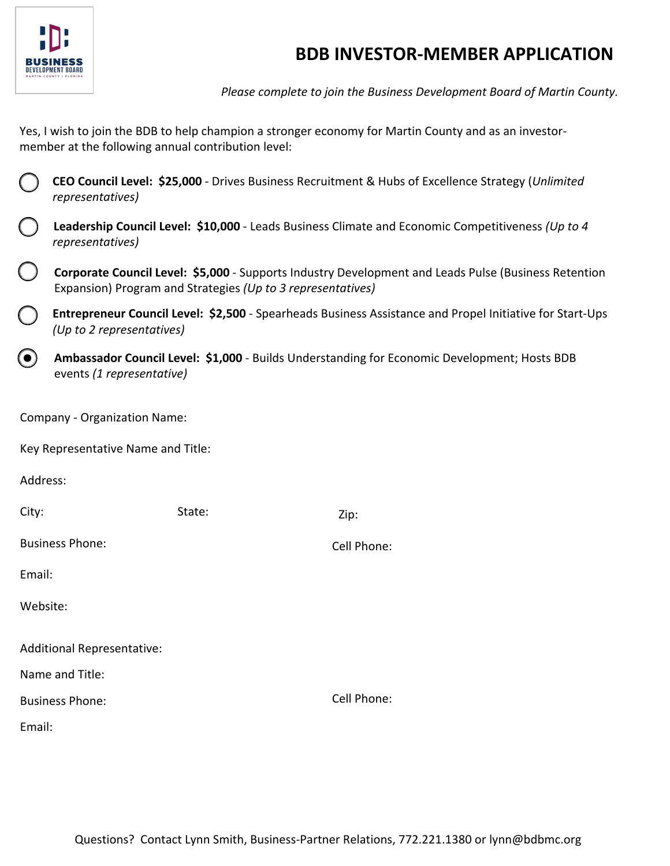

## **BDB INVESTOR-MEMBER APPLICATION**

*Please complete to join the Business Development Board of Martin County.*

Yes, I wish to join the BDB to help champion a stronger economy for Martin County and as an investormember at the following annual contribution level:

|  |                  | CEO Council Level: \$25,000 - Drives Business Recruitment & Hubs of Excellence Strategy (Unlimited |  |
|--|------------------|----------------------------------------------------------------------------------------------------|--|
|  | representatives) |                                                                                                    |  |

|  | <b>Leadership Council Level: \$10,000</b> - Leads Business Climate and Economic Competitiveness (Up to 4 |
|--|----------------------------------------------------------------------------------------------------------|
|  | representatives)                                                                                         |

**Corporate Council Level: \$5,000** - Supports Industry Development and Leads Pulse (Business Retention Expansion) Program and Strategies *(Up to 3 representatives)*

**Entrepreneur Council Level: \$2,500** - Spearheads Business Assistance and Propel Initiative for Start-Ups *(Up to 2 representatives)*

**Ambassador Council Level: \$1,000** - Builds Understanding for Economic Development; Hosts BDB  $(\bullet)$ events *(1 representative)*

Company - Organization Name:

Key Representative Name and Title:

Address:

| City:                             | State: | Zip:        |  |  |  |
|-----------------------------------|--------|-------------|--|--|--|
| <b>Business Phone:</b>            |        | Cell Phone: |  |  |  |
| Email:                            |        |             |  |  |  |
| Website:                          |        |             |  |  |  |
| <b>Additional Representative:</b> |        |             |  |  |  |
| Name and Title:                   |        |             |  |  |  |
| <b>Business Phone:</b>            |        | Cell Phone: |  |  |  |
| Email:                            |        |             |  |  |  |